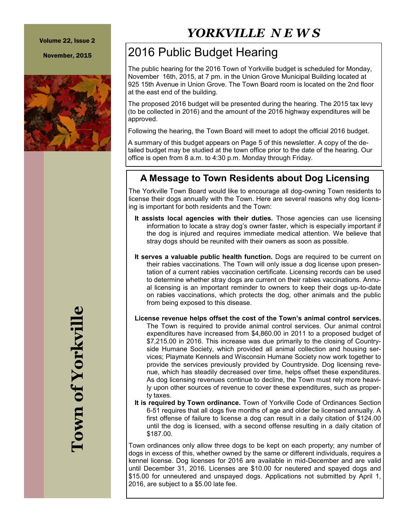#### Volume 22, Issue 2

November, 2015



# *YORKVILLE N E W S*

# 2016 Public Budget Hearing

The public hearing for the 2016 Town of Yorkville budget is scheduled for Monday, November 16th, 2015, at 7 pm. in the Union Grove Municipal Building located at 925 15th Avenue in Union Grove. The Town Board room is located on the 2nd floor at the east end of the building.

The proposed 2016 budget will be presented during the hearing. The 2015 tax levy (to be collected in 2016) and the amount of the 2016 highway expenditures will be approved.

Following the hearing, the Town Board will meet to adopt the official 2016 budget.

A summary of this budget appears on Page 5 of this newsletter. A copy of the detailed budget may be studied at the town office prior to the date of the hearing. Our office is open from 8 a.m. to 4:30 p.m. Monday through Friday.

## **A Message to Town Residents about Dog Licensing**

The Yorkville Town Board would like to encourage all dog-owning Town residents to license their dogs annually with the Town. Here are several reasons why dog licensing is important for both residents and the Town:

- **It assists local agencies with their duties.** Those agencies can use licensing information to locate a stray dog's owner faster, which is especially important if the dog is injured and requires immediate medical attention. We believe that stray dogs should be reunited with their owners as soon as possible.
- **It serves a valuable public health function.** Dogs are required to be current on their rabies vaccinations. The Town will only issue a dog license upon presentation of a current rabies vaccination certificate. Licensing records can be used to determine whether stray dogs are current on their rabies vaccinations. Annual licensing is an important reminder to owners to keep their dogs up-to-date on rabies vaccinations, which protects the dog, other animals and the public from being exposed to this disease.
- **License revenue helps offset the cost of the Town's animal control services.** The Town is required to provide animal control services. Our animal control expenditures have increased from \$4,860.00 in 2011 to a proposed budget of \$7,215.00 in 2016. This increase was due primarily to the closing of Countryside Humane Society, which provided all animal collection and housing services; Playmate Kennels and Wisconsin Humane Society now work together to provide the services previously provided by Countryside. Dog licensing revenue, which has steadily decreased over time, helps offset these expenditures. As dog licensing revenues continue to decline, the Town must rely more heavily upon other sources of revenue to cover these expenditures, such as property taxes.
- **It is required by Town ordinance.** Town of Yorkville Code of Ordinances Section 6-51 requires that all dogs five months of age and older be licensed annually. A first offense of failure to license a dog can result in a daily citation of \$124.00 until the dog is licensed, with a second offense resulting in a daily citation of \$187.00.

Town ordinances only allow three dogs to be kept on each property; any number of dogs in excess of this, whether owned by the same or different individuals, requires a kennel license. Dog licenses for 2016 are available in mid-December and are valid until December 31, 2016. Licenses are \$10.00 for neutered and spayed dogs and \$15.00 for unneutered and unspayed dogs. Applications not submitted by April 1, 2016, are subject to a \$5.00 late fee.

**Town of Yorkville** Town of Yorkville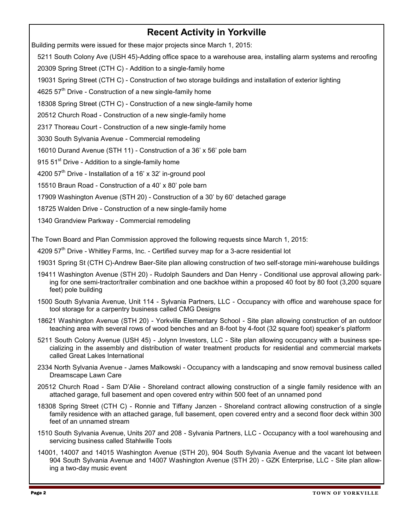## **Recent Activity in Yorkville**

Building permits were issued for these major projects since March 1, 2015:

5211 South Colony Ave (USH 45)-Adding office space to a warehouse area, installing alarm systems and reroofing

20309 Spring Street (CTH C) - Addition to a single-family home

19031 Spring Street (CTH C) - Construction of two storage buildings and installation of exterior lighting

4625  $57<sup>th</sup>$  Drive - Construction of a new single-family home

18308 Spring Street (CTH C) - Construction of a new single-family home

20512 Church Road - Construction of a new single-family home

2317 Thoreau Court - Construction of a new single-family home

3030 South Sylvania Avenue - Commercial remodeling

16010 Durand Avenue (STH 11) - Construction of a 36' x 56' pole barn

915 51<sup>st</sup> Drive - Addition to a single-family home

4200  $57<sup>th</sup>$  Drive - Installation of a 16' x 32' in-ground pool

15510 Braun Road - Construction of a 40' x 80' pole barn

17909 Washington Avenue (STH 20) - Construction of a 30' by 60' detached garage

18725 Walden Drive - Construction of a new single-family home

1340 Grandview Parkway - Commercial remodeling

The Town Board and Plan Commission approved the following requests since March 1, 2015:

4209  $57<sup>th</sup>$  Drive - Whitley Farms, Inc. - Certified survey map for a 3-acre residential lot

19031 Spring St (CTH C)-Andrew Baer-Site plan allowing construction of two self-storage mini-warehouse buildings

19411 Washington Avenue (STH 20) - Rudolph Saunders and Dan Henry - Conditional use approval allowing parking for one semi-tractor/trailer combination and one backhoe within a proposed 40 foot by 80 foot (3,200 square feet) pole building

1500 South Sylvania Avenue, Unit 114 - Sylvania Partners, LLC - Occupancy with office and warehouse space for tool storage for a carpentry business called CMG Designs

18621 Washington Avenue (STH 20) - Yorkville Elementary School - Site plan allowing construction of an outdoor teaching area with several rows of wood benches and an 8-foot by 4-foot (32 square foot) speaker's platform

5211 South Colony Avenue (USH 45) - Jolynn Investors, LLC - Site plan allowing occupancy with a business specializing in the assembly and distribution of water treatment products for residential and commercial markets called Great Lakes International

2334 North Sylvania Avenue - James Malkowski - Occupancy with a landscaping and snow removal business called Dreamscape Lawn Care

20512 Church Road - Sam D'Alie - Shoreland contract allowing construction of a single family residence with an attached garage, full basement and open covered entry within 500 feet of an unnamed pond

18308 Spring Street (CTH C) - Ronnie and Tiffany Janzen - Shoreland contract allowing construction of a single family residence with an attached garage, full basement, open covered entry and a second floor deck within 300 feet of an unnamed stream

1510 South Sylvania Avenue, Units 207 and 208 - Sylvania Partners, LLC - Occupancy with a tool warehousing and servicing business called Stahlwille Tools

14001, 14007 and 14015 Washington Avenue (STH 20), 904 South Sylvania Avenue and the vacant lot between 904 South Sylvania Avenue and 14007 Washington Avenue (STH 20) - GZK Enterprise, LLC - Site plan allowing a two-day music event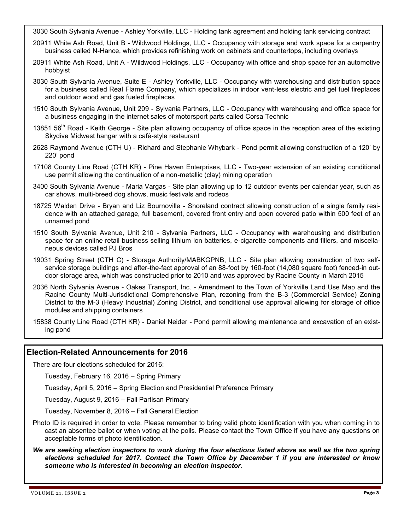3030 South Sylvania Avenue - Ashley Yorkville, LLC - Holding tank agreement and holding tank servicing contract

- 20911 White Ash Road, Unit B Wildwood Holdings, LLC Occupancy with storage and work space for a carpentry business called N-Hance, which provides refinishing work on cabinets and countertops, including overlays
- 20911 White Ash Road, Unit A Wildwood Holdings, LLC Occupancy with office and shop space for an automotive hobbyist
- 3030 South Sylvania Avenue, Suite E Ashley Yorkville, LLC Occupancy with warehousing and distribution space for a business called Real Flame Company, which specializes in indoor vent-less electric and gel fuel fireplaces and outdoor wood and gas fueled fireplaces
- 1510 South Sylvania Avenue, Unit 209 Sylvania Partners, LLC Occupancy with warehousing and office space for a business engaging in the internet sales of motorsport parts called Corsa Technic
- 13851 56<sup>th</sup> Road Keith George Site plan allowing occupancy of office space in the reception area of the existing Skydive Midwest hangar with a café-style restaurant
- 2628 Raymond Avenue (CTH U) Richard and Stephanie Whybark Pond permit allowing construction of a 120' by 220' pond
- 17108 County Line Road (CTH KR) Pine Haven Enterprises, LLC Two-year extension of an existing conditional use permit allowing the continuation of a non-metallic (clay) mining operation
- 3400 South Sylvania Avenue Maria Vargas Site plan allowing up to 12 outdoor events per calendar year, such as car shows, multi-breed dog shows, music festivals and rodeos
- 18725 Walden Drive Bryan and Liz Bournoville Shoreland contract allowing construction of a single family residence with an attached garage, full basement, covered front entry and open covered patio within 500 feet of an unnamed pond
- 1510 South Sylvania Avenue, Unit 210 Sylvania Partners, LLC Occupancy with warehousing and distribution space for an online retail business selling lithium ion batteries, e-cigarette components and fillers, and miscellaneous devices called PJ Bros
- 19031 Spring Street (CTH C) Storage Authority/MABKGPNB, LLC Site plan allowing construction of two selfservice storage buildings and after-the-fact approval of an 88-foot by 160-foot (14,080 square foot) fenced-in outdoor storage area, which was constructed prior to 2010 and was approved by Racine County in March 2015
- 2036 North Sylvania Avenue Oakes Transport, Inc. Amendment to the Town of Yorkville Land Use Map and the Racine County Multi-Jurisdictional Comprehensive Plan, rezoning from the B-3 (Commercial Service) Zoning District to the M-3 (Heavy Industrial) Zoning District, and conditional use approval allowing for storage of office modules and shipping containers
- 15838 County Line Road (CTH KR) Daniel Neider Pond permit allowing maintenance and excavation of an existing pond

#### **Election-Related Announcements for 2016**

There are four elections scheduled for 2016:

Tuesday, February 16, 2016 – Spring Primary

Tuesday, April 5, 2016 – Spring Election and Presidential Preference Primary

Tuesday, August 9, 2016 – Fall Partisan Primary

Tuesday, November 8, 2016 – Fall General Election

- Photo ID is required in order to vote. Please remember to bring valid photo identification with you when coming in to cast an absentee ballot or when voting at the polls. Please contact the Town Office if you have any questions on acceptable forms of photo identification.
- *We are seeking election inspectors to work during the four elections listed above as well as the two spring elections scheduled for 2017. Contact the Town Office by December 1 if you are interested or know someone who is interested in becoming an election inspector*.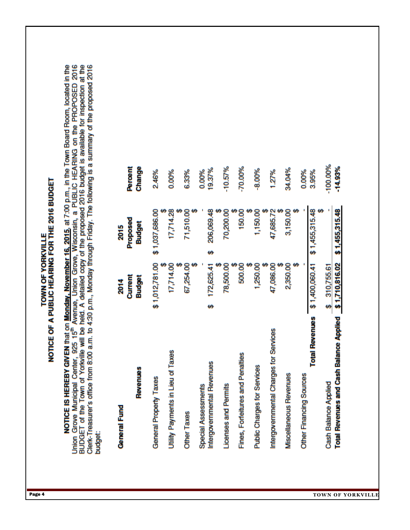| budget:                                                                                  |                                  | BUDGET of the Town of Yorkville will be held. A detailed copy of the proposed 2016 budget is available for inspection at the | Clerk-Treasurer's office from 8:00 a.m. to 4:30 p.m., Monday through Friday. The following is a summary of the proposed 2016 |
|------------------------------------------------------------------------------------------|----------------------------------|------------------------------------------------------------------------------------------------------------------------------|------------------------------------------------------------------------------------------------------------------------------|
| Revenues<br>General Fund                                                                 | Current<br>Budget<br><b>2014</b> | Proposed<br>Budget<br>2015                                                                                                   | Percent<br>Change                                                                                                            |
| General Property Taxes                                                                   | \$1,012,781.00                   | \$1,037,686.00                                                                                                               | 2.46%                                                                                                                        |
| Utility Payments in Lieu of Taxes                                                        | 17,714.00                        | 17,714.28                                                                                                                    | 0.00%                                                                                                                        |
| <b>Other Taxes</b>                                                                       | 67,254.00                        | 71,510.00                                                                                                                    | 6.33%                                                                                                                        |
| ₩<br>Intergovernmental Revenues<br>Special Assessments                                   | 172,625.41                       | 206,069.48<br>₩                                                                                                              | 19.37%<br>0.00%                                                                                                              |
| <b>Licenses and Permits</b>                                                              | 78,500.00                        | 70,200.00                                                                                                                    | $-10.57%$                                                                                                                    |
| Fines, Forfeitures and Penalties                                                         | 500.00                           | 150.00                                                                                                                       | $-70.00%$                                                                                                                    |
| <b>Public Charges for Services</b>                                                       | 1,250.00                         | 1,150.00                                                                                                                     | $-8.00%$                                                                                                                     |
| Intergovernmental Charges for Services                                                   | 47,086.00                        | 47,685.72                                                                                                                    | 1.27%                                                                                                                        |
| Miscellaneous Revenues                                                                   | 2,350.00                         | 3,150.00                                                                                                                     | 34.04%                                                                                                                       |
| Other Financing Sources                                                                  |                                  |                                                                                                                              | 0.00%                                                                                                                        |
| <b>Total Revenues</b>                                                                    | \$1,400,060.41                   | \$1,455,315.48                                                                                                               | 3.95%                                                                                                                        |
| Applied \$1,710,816.02<br><b>Total Revenues and Cash Balance</b><br>Cash Balance Applied | \$ 310,755.61                    | \$1,455,315.48                                                                                                               | -100.00%<br>$-14.93%$                                                                                                        |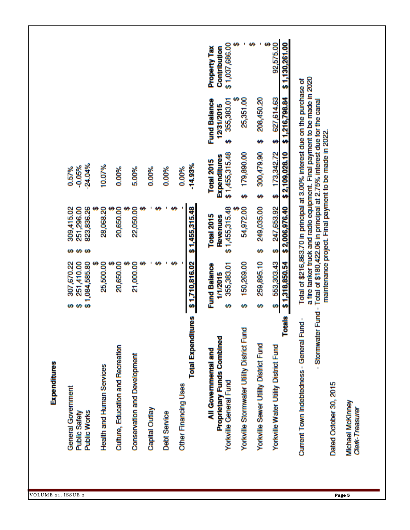|              |                                                                   |                                  |                                   |                                     |                |                     |                      |                           | \$1,037,686.00<br><b>Property Tax</b><br>Contribution                               |                                            |                                       | \$1,130,261.00<br>92,575.00                            |                                                                                                                                                                                                                                                                                              |                                     |
|--------------|-------------------------------------------------------------------|----------------------------------|-----------------------------------|-------------------------------------|----------------|---------------------|----------------------|---------------------------|-------------------------------------------------------------------------------------|--------------------------------------------|---------------------------------------|--------------------------------------------------------|----------------------------------------------------------------------------------------------------------------------------------------------------------------------------------------------------------------------------------------------------------------------------------------------|-------------------------------------|
|              |                                                                   |                                  |                                   |                                     |                |                     |                      |                           | <b>Fund Balance</b><br>355,383.01<br>12/31/2015<br>₩                                | 25,351.00                                  | 208,450.20<br>₩                       | \$1,216,798.84<br>627.614.63<br>₩                      |                                                                                                                                                                                                                                                                                              |                                     |
|              | $-24.04%$<br>$-0.05%$<br>0.57%                                    | 10.07%                           | 0.00%                             | 5.00%                               | 0.00%          | 0.00%               | 0.00%                | $-14.93%$                 | \$1,455,315.48<br><b>Expenditures</b><br><b>Total 2015</b>                          | 179,890.00<br>₩                            | 300,479.90<br>₩                       | \$173,342.72<br>\$2,109,028.10                         | a fire tanker truck and radio equipment. Final payment to be made in 2020<br>Total of \$216,863.70 in principal at 3.00% interest due on the purchase of<br>Total of \$180,422.06 in principal at 2.75% interest due for the canal<br>maintenance project. Final payment to be made in 2022. |                                     |
|              | 309,415.02<br>823,836.26<br>251,296.00<br>မှာ မှာ<br>₩            | 28,068.20                        | 20,650.00                         | 22,050.00                           |                |                     |                      | \$1,455,315.48            | \$1,455,315.48<br><b>Total 2015</b><br><b>Revenues</b>                              | 54,972.00                                  | 249,035.00<br>₩                       | 247,653.92<br>\$2,006,976.40<br>Ø                      |                                                                                                                                                                                                                                                                                              |                                     |
|              | 307,670.22<br>251,410.00<br>\$1,084,585.80<br>မှာမှာ              | 25,500.00                        | 20,650.00                         | 21,000.00                           |                |                     |                      | \$1,710,816.02            | 355,383.01<br><b>Fund Balance</b><br>1/1/2015<br>₩                                  | 150,269.00<br>↮                            | 259,895.10<br>₩                       | 553,303.43<br>\$1,318,850.54<br>₩                      |                                                                                                                                                                                                                                                                                              |                                     |
| Expenditures | General Government<br><b>Public Works</b><br><b>Public Safety</b> | <b>Health and Human Services</b> | Culture, Education and Recreation | <b>Conservation and Development</b> | Capital Outlay | <b>Debt Service</b> | Other Financing Uses | <b>Total Expenditures</b> | <b>Proprietary Funds Combined</b><br>All Governmental and<br>Yorkville General Fund | Yorkville Stormwater Utility District Fund | Yorkville Sewer Utility District Fund | <b>Totals</b><br>Yorkville Water Utility District Fund | - Stormwater Fund-<br>Current Town Indebtedness - General Fund-<br>Dated October 30, 2015                                                                                                                                                                                                    | Michael McKinney<br>Clerk-Treasurer |

VOLUME 21, ISSUE 2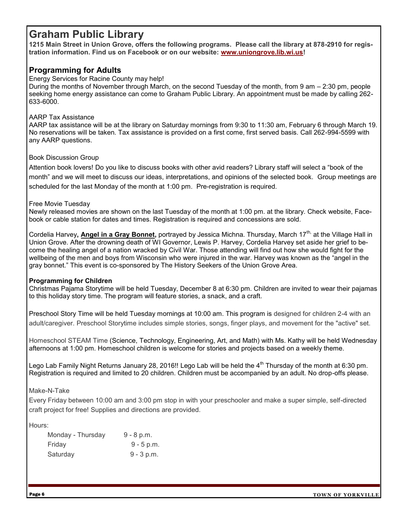## **Graham Public Library**

**1215 Main Street in Union Grove, offers the following programs. Please call the library at 878-2910 for registration information. Find us on Facebook or on our website: [www.uniongrove.lib.wi.us!](http://www.uniongrove.lib.wi.us/)**

#### **Programming for Adults**

#### Energy Services for Racine County may help!

During the months of November through March, on the second Tuesday of the month, from 9 am – 2:30 pm, people seeking home energy assistance can come to Graham Public Library. An appointment must be made by calling 262- 633-6000.

#### AARP Tax Assistance

AARP tax assistance will be at the library on Saturday mornings from 9:30 to 11:30 am, February 6 through March 19. No reservations will be taken. Tax assistance is provided on a first come, first served basis. Call 262-994-5599 with any AARP questions.

#### Book Discussion Group

Attention book lovers! Do you like to discuss books with other avid readers? Library staff will select a "book of the month" and we will meet to discuss our ideas, interpretations, and opinions of the selected book. Group meetings are scheduled for the last Monday of the month at 1:00 pm. Pre-registration is required.

#### Free Movie Tuesday

Newly released movies are shown on the last Tuesday of the month at 1:00 pm. at the library. Check website, Facebook or cable station for dates and times. Registration is required and concessions are sold.

Cordelia Harvey**, Angel in a Gray Bonnet,** portrayed by Jessica Michna. Thursday, March 17th, at the Village Hall in Union Grove. After the drowning death of WI Governor, Lewis P. Harvey, Cordelia Harvey set aside her grief to become the healing angel of a nation wracked by Civil War. Those attending will find out how she would fight for the wellbeing of the men and boys from Wisconsin who were injured in the war. Harvey was known as the "angel in the gray bonnet." This event is co-sponsored by The History Seekers of the Union Grove Area.

#### **Programming for Children**

Christmas Pajama Storytime will be held Tuesday, December 8 at 6:30 pm. Children are invited to wear their pajamas to this holiday story time. The program will feature stories, a snack, and a craft.

Preschool Story Time will be held Tuesday mornings at 10:00 am. This program is designed for children 2-4 with an adult/caregiver. Preschool Storytime includes simple stories, songs, finger plays, and movement for the "active" set.

Homeschool STEAM Time (Science, Technology, Engineering, Art, and Math) with Ms. Kathy will be held Wednesday afternoons at 1:00 pm. Homeschool children is welcome for stories and projects based on a weekly theme.

Lego Lab Family Night Returns January 28, 2016!! Lego Lab will be held the 4<sup>th</sup> Thursday of the month at 6:30 pm. Registration is required and limited to 20 children. Children must be accompanied by an adult. No drop-offs please.

Make-N-Take

Every Friday between 10:00 am and 3:00 pm stop in with your preschooler and make a super simple, self-directed craft project for free! Supplies and directions are provided.

Hours:

| Monday - Thursday | $9 - 8 p.m.$ |
|-------------------|--------------|
| Friday            | $9 - 5 p.m.$ |
| Saturday          | $9 - 3 p.m.$ |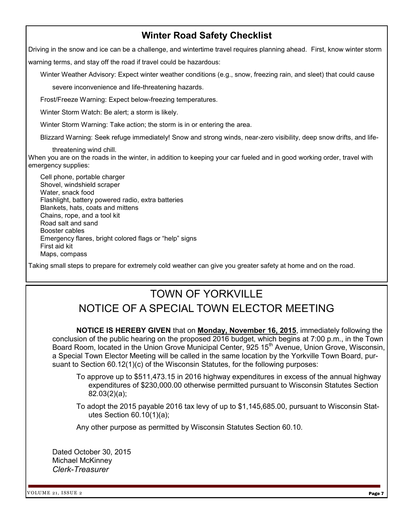## **Winter Road Safety Checklist**

Driving in the snow and ice can be a challenge, and wintertime travel requires planning ahead. First, know winter storm warning terms, and stay off the road if travel could be hazardous:

Winter Weather Advisory: Expect winter weather conditions (e.g., snow, freezing rain, and sleet) that could cause

severe inconvenience and life-threatening hazards.

Frost/Freeze Warning: Expect below-freezing temperatures.

Winter Storm Watch: Be alert; a storm is likely.

Winter Storm Warning: Take action; the storm is in or entering the area.

Blizzard Warning: Seek refuge immediately! Snow and strong winds, near-zero visibility, deep snow drifts, and life-

threatening wind chill.

When you are on the roads in the winter, in addition to keeping your car fueled and in good working order, travel with emergency supplies:

Cell phone, portable charger Shovel, windshield scraper Water, snack food Flashlight, battery powered radio, extra batteries Blankets, hats, coats and mittens Chains, rope, and a tool kit Road salt and sand Booster cables Emergency flares, bright colored flags or "help" signs First aid kit Maps, compass

Taking small steps to prepare for extremely cold weather can give you greater safety at home and on the road.

# TOWN OF YORKVILLE

## NOTICE OF A SPECIAL TOWN ELECTOR MEETING

**NOTICE IS HEREBY GIVEN** that on **Monday, November 16, 2015**, immediately following the conclusion of the public hearing on the proposed 2016 budget, which begins at 7:00 p.m., in the Town Board Room, located in the Union Grove Municipal Center, 925 15<sup>th</sup> Avenue, Union Grove, Wisconsin, a Special Town Elector Meeting will be called in the same location by the Yorkville Town Board, pursuant to Section 60.12(1)(c) of the Wisconsin Statutes, for the following purposes:

- To approve up to \$511,473.15 in 2016 highway expenditures in excess of the annual highway expenditures of \$230,000.00 otherwise permitted pursuant to Wisconsin Statutes Section 82.03(2)(a);
- To adopt the 2015 payable 2016 tax levy of up to \$1,145,685.00, pursuant to Wisconsin Statutes Section 60.10(1)(a);

Any other purpose as permitted by Wisconsin Statutes Section 60.10.

Dated October 30, 2015 Michael McKinney *Clerk-Treasurer*

VOLUME 21, ISSUE 2 **Page 7**